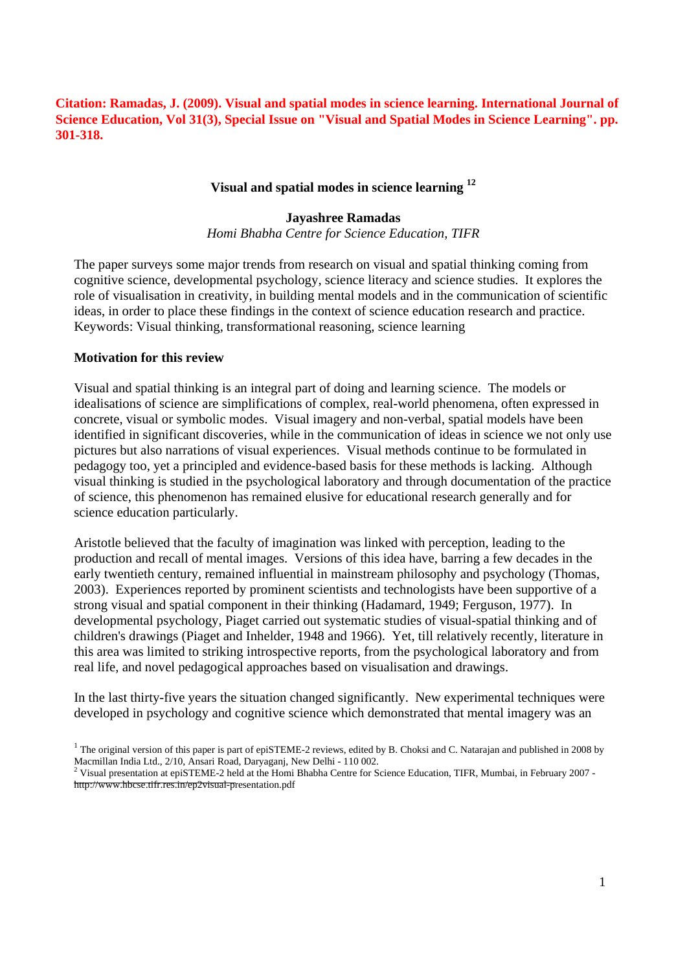**Citation: Ramadas, J. (2009). Visual and spatial modes in science learning. International Journal of Science Education, Vol 31(3), Special Issue on "Visual and Spatial Modes in Science Learning". pp. 301-318.**

## **Visual and spatial modes in science learning 12**

## **Jayashree Ramadas**

*Homi Bhabha Centre for Science Education, TIFR* 

The paper surveys some major trends from research on visual and spatial thinking coming from cognitive science, developmental psychology, science literacy and science studies. It explores the role of visualisation in creativity, in building mental models and in the communication of scientific ideas, in order to place these findings in the context of science education research and practice. Keywords: Visual thinking, transformational reasoning, science learning

#### **Motivation for this review**

Visual and spatial thinking is an integral part of doing and learning science. The models or idealisations of science are simplifications of complex, real-world phenomena, often expressed in concrete, visual or symbolic modes. Visual imagery and non-verbal, spatial models have been identified in significant discoveries, while in the communication of ideas in science we not only use pictures but also narrations of visual experiences. Visual methods continue to be formulated in pedagogy too, yet a principled and evidence-based basis for these methods is lacking. Although visual thinking is studied in the psychological laboratory and through documentation of the practice of science, this phenomenon has remained elusive for educational research generally and for science education particularly.

Aristotle believed that the faculty of imagination was linked with perception, leading to the production and recall of mental images. Versions of this idea have, barring a few decades in the early twentieth century, remained influential in mainstream philosophy and psychology (Thomas, 2003). Experiences reported by prominent scientists and technologists have been supportive of a strong visual and spatial component in their thinking (Hadamard, 1949; Ferguson, 1977). In developmental psychology, Piaget carried out systematic studies of visual-spatial thinking and of children's drawings (Piaget and Inhelder, 1948 and 1966). Yet, till relatively recently, literature in this area was limited to striking introspective reports, from the psychological laboratory and from real life, and novel pedagogical approaches based on visualisation and drawings.

In the last thirty-five years the situation changed significantly. New experimental techniques were developed in psychology and cognitive science which demonstrated that mental imagery was an

<sup>&</sup>lt;sup>1</sup> The original version of this paper is part of epiSTEME-2 reviews, edited by B. Choksi and C. Natarajan and published in 2008 by Macmillan India Ltd., 2/10, Ansari Road, Daryaganj, New Delhi - 110 002.

<sup>&</sup>lt;sup>2</sup> Visual presentation at epiSTEME-2 held at the Homi Bhabha Centre for Science Education, TIFR, Mumbai, in February 2007 http://www.hbcse.tifr.res.in/ep2visual-presentation.pdf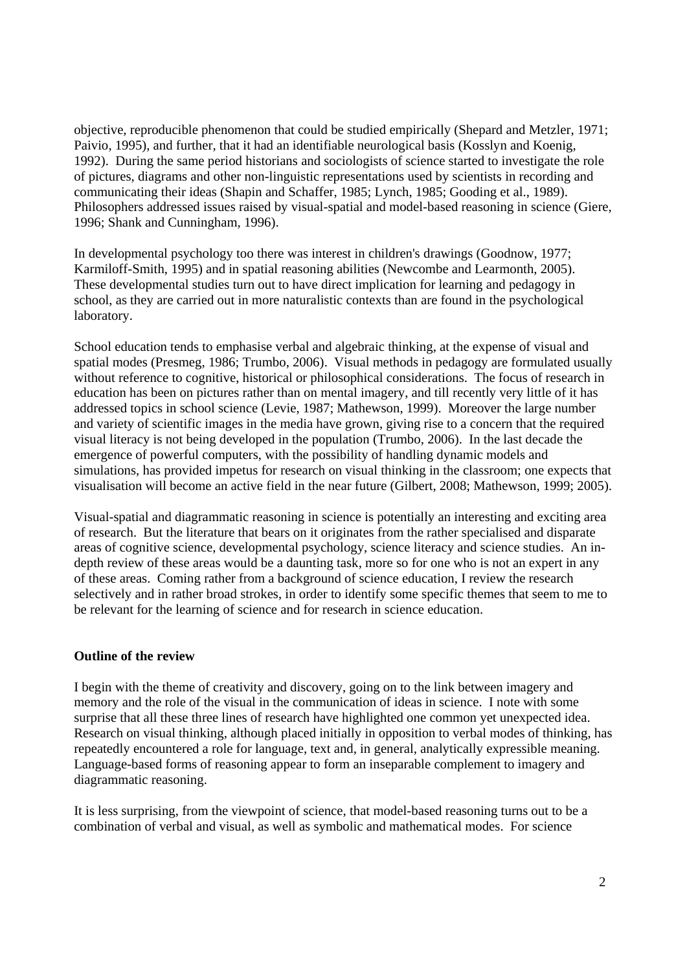objective, reproducible phenomenon that could be studied empirically (Shepard and Metzler, 1971; Paivio, 1995), and further, that it had an identifiable neurological basis (Kosslyn and Koenig, 1992). During the same period historians and sociologists of science started to investigate the role of pictures, diagrams and other non-linguistic representations used by scientists in recording and communicating their ideas (Shapin and Schaffer, 1985; Lynch, 1985; Gooding et al., 1989). Philosophers addressed issues raised by visual-spatial and model-based reasoning in science (Giere, 1996; Shank and Cunningham, 1996).

In developmental psychology too there was interest in children's drawings (Goodnow, 1977; Karmiloff-Smith, 1995) and in spatial reasoning abilities (Newcombe and Learmonth, 2005). These developmental studies turn out to have direct implication for learning and pedagogy in school, as they are carried out in more naturalistic contexts than are found in the psychological laboratory.

School education tends to emphasise verbal and algebraic thinking, at the expense of visual and spatial modes (Presmeg, 1986; Trumbo, 2006). Visual methods in pedagogy are formulated usually without reference to cognitive, historical or philosophical considerations. The focus of research in education has been on pictures rather than on mental imagery, and till recently very little of it has addressed topics in school science (Levie, 1987; Mathewson, 1999). Moreover the large number and variety of scientific images in the media have grown, giving rise to a concern that the required visual literacy is not being developed in the population (Trumbo, 2006). In the last decade the emergence of powerful computers, with the possibility of handling dynamic models and simulations, has provided impetus for research on visual thinking in the classroom; one expects that visualisation will become an active field in the near future (Gilbert, 2008; Mathewson, 1999; 2005).

Visual-spatial and diagrammatic reasoning in science is potentially an interesting and exciting area of research. But the literature that bears on it originates from the rather specialised and disparate areas of cognitive science, developmental psychology, science literacy and science studies. An indepth review of these areas would be a daunting task, more so for one who is not an expert in any of these areas. Coming rather from a background of science education, I review the research selectively and in rather broad strokes, in order to identify some specific themes that seem to me to be relevant for the learning of science and for research in science education.

### **Outline of the review**

I begin with the theme of creativity and discovery, going on to the link between imagery and memory and the role of the visual in the communication of ideas in science. I note with some surprise that all these three lines of research have highlighted one common yet unexpected idea. Research on visual thinking, although placed initially in opposition to verbal modes of thinking, has repeatedly encountered a role for language, text and, in general, analytically expressible meaning. Language-based forms of reasoning appear to form an inseparable complement to imagery and diagrammatic reasoning.

It is less surprising, from the viewpoint of science, that model-based reasoning turns out to be a combination of verbal and visual, as well as symbolic and mathematical modes. For science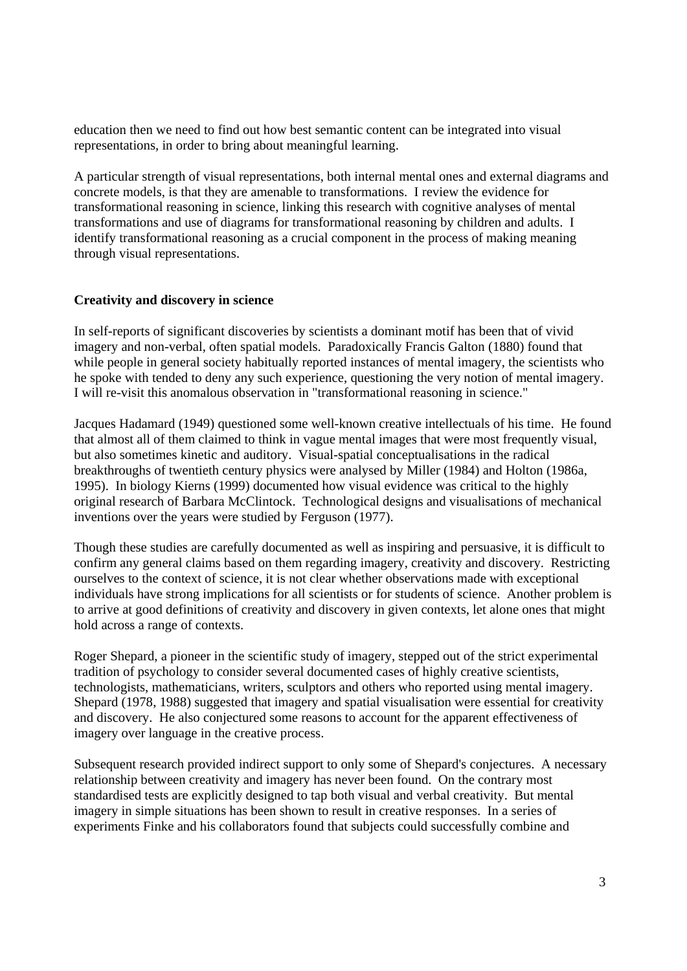education then we need to find out how best semantic content can be integrated into visual representations, in order to bring about meaningful learning.

A particular strength of visual representations, both internal mental ones and external diagrams and concrete models, is that they are amenable to transformations. I review the evidence for transformational reasoning in science, linking this research with cognitive analyses of mental transformations and use of diagrams for transformational reasoning by children and adults. I identify transformational reasoning as a crucial component in the process of making meaning through visual representations.

# **Creativity and discovery in science**

In self-reports of significant discoveries by scientists a dominant motif has been that of vivid imagery and non-verbal, often spatial models. Paradoxically Francis Galton (1880) found that while people in general society habitually reported instances of mental imagery, the scientists who he spoke with tended to deny any such experience, questioning the very notion of mental imagery. I will re-visit this anomalous observation in "transformational reasoning in science."

Jacques Hadamard (1949) questioned some well-known creative intellectuals of his time. He found that almost all of them claimed to think in vague mental images that were most frequently visual, but also sometimes kinetic and auditory. Visual-spatial conceptualisations in the radical breakthroughs of twentieth century physics were analysed by Miller (1984) and Holton (1986a, 1995). In biology Kierns (1999) documented how visual evidence was critical to the highly original research of Barbara McClintock. Technological designs and visualisations of mechanical inventions over the years were studied by Ferguson (1977).

Though these studies are carefully documented as well as inspiring and persuasive, it is difficult to confirm any general claims based on them regarding imagery, creativity and discovery. Restricting ourselves to the context of science, it is not clear whether observations made with exceptional individuals have strong implications for all scientists or for students of science. Another problem is to arrive at good definitions of creativity and discovery in given contexts, let alone ones that might hold across a range of contexts.

Roger Shepard, a pioneer in the scientific study of imagery, stepped out of the strict experimental tradition of psychology to consider several documented cases of highly creative scientists, technologists, mathematicians, writers, sculptors and others who reported using mental imagery. Shepard (1978, 1988) suggested that imagery and spatial visualisation were essential for creativity and discovery. He also conjectured some reasons to account for the apparent effectiveness of imagery over language in the creative process.

Subsequent research provided indirect support to only some of Shepard's conjectures. A necessary relationship between creativity and imagery has never been found. On the contrary most standardised tests are explicitly designed to tap both visual and verbal creativity. But mental imagery in simple situations has been shown to result in creative responses. In a series of experiments Finke and his collaborators found that subjects could successfully combine and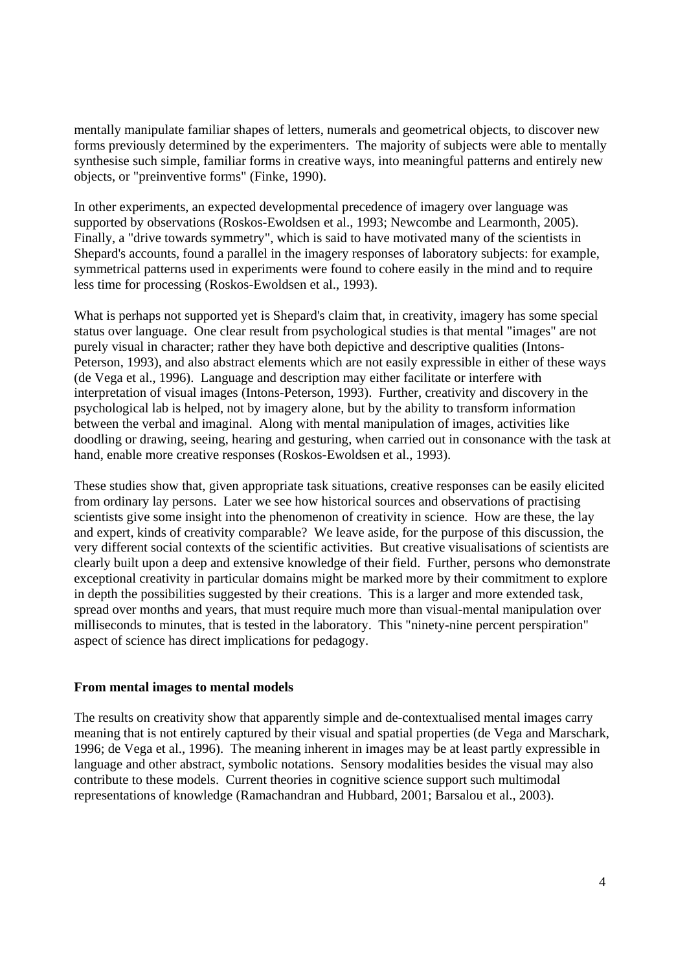mentally manipulate familiar shapes of letters, numerals and geometrical objects, to discover new forms previously determined by the experimenters. The majority of subjects were able to mentally synthesise such simple, familiar forms in creative ways, into meaningful patterns and entirely new objects, or "preinventive forms" (Finke, 1990).

In other experiments, an expected developmental precedence of imagery over language was supported by observations (Roskos-Ewoldsen et al., 1993; Newcombe and Learmonth, 2005). Finally, a "drive towards symmetry", which is said to have motivated many of the scientists in Shepard's accounts, found a parallel in the imagery responses of laboratory subjects: for example, symmetrical patterns used in experiments were found to cohere easily in the mind and to require less time for processing (Roskos-Ewoldsen et al., 1993).

What is perhaps not supported yet is Shepard's claim that, in creativity, imagery has some special status over language. One clear result from psychological studies is that mental "images" are not purely visual in character; rather they have both depictive and descriptive qualities (Intons-Peterson, 1993), and also abstract elements which are not easily expressible in either of these ways (de Vega et al., 1996). Language and description may either facilitate or interfere with interpretation of visual images (Intons-Peterson, 1993). Further, creativity and discovery in the psychological lab is helped, not by imagery alone, but by the ability to transform information between the verbal and imaginal. Along with mental manipulation of images, activities like doodling or drawing, seeing, hearing and gesturing, when carried out in consonance with the task at hand, enable more creative responses (Roskos-Ewoldsen et al., 1993).

These studies show that, given appropriate task situations, creative responses can be easily elicited from ordinary lay persons. Later we see how historical sources and observations of practising scientists give some insight into the phenomenon of creativity in science. How are these, the lay and expert, kinds of creativity comparable? We leave aside, for the purpose of this discussion, the very different social contexts of the scientific activities. But creative visualisations of scientists are clearly built upon a deep and extensive knowledge of their field. Further, persons who demonstrate exceptional creativity in particular domains might be marked more by their commitment to explore in depth the possibilities suggested by their creations. This is a larger and more extended task, spread over months and years, that must require much more than visual-mental manipulation over milliseconds to minutes, that is tested in the laboratory. This "ninety-nine percent perspiration" aspect of science has direct implications for pedagogy.

#### **From mental images to mental models**

The results on creativity show that apparently simple and de-contextualised mental images carry meaning that is not entirely captured by their visual and spatial properties (de Vega and Marschark, 1996; de Vega et al., 1996). The meaning inherent in images may be at least partly expressible in language and other abstract, symbolic notations. Sensory modalities besides the visual may also contribute to these models. Current theories in cognitive science support such multimodal representations of knowledge (Ramachandran and Hubbard, 2001; Barsalou et al., 2003).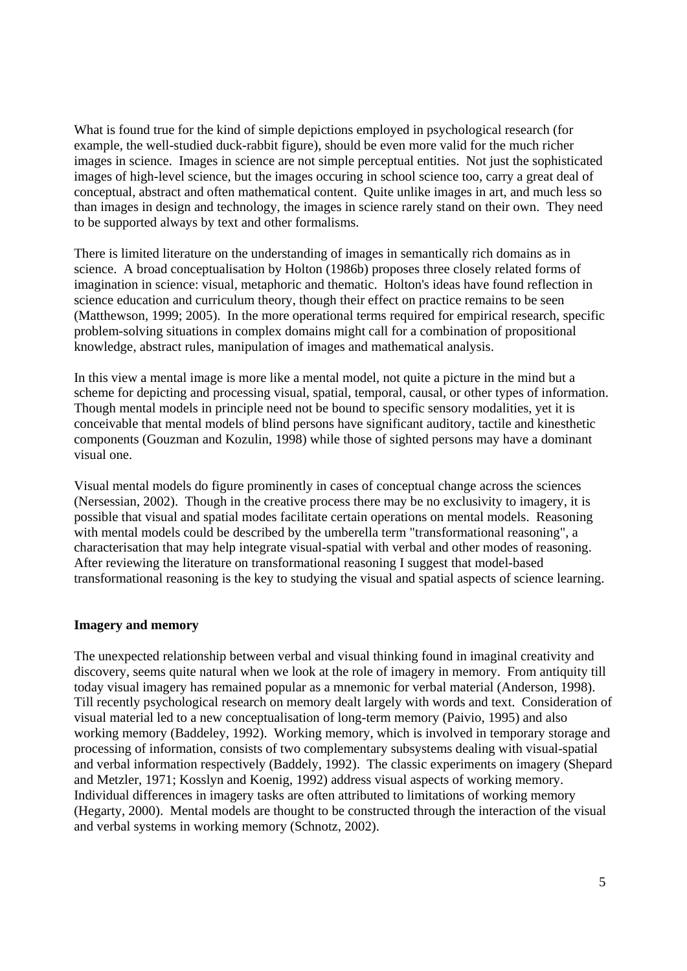What is found true for the kind of simple depictions employed in psychological research (for example, the well-studied duck-rabbit figure), should be even more valid for the much richer images in science. Images in science are not simple perceptual entities. Not just the sophisticated images of high-level science, but the images occuring in school science too, carry a great deal of conceptual, abstract and often mathematical content. Quite unlike images in art, and much less so than images in design and technology, the images in science rarely stand on their own. They need to be supported always by text and other formalisms.

There is limited literature on the understanding of images in semantically rich domains as in science. A broad conceptualisation by Holton (1986b) proposes three closely related forms of imagination in science: visual, metaphoric and thematic. Holton's ideas have found reflection in science education and curriculum theory, though their effect on practice remains to be seen (Matthewson, 1999; 2005). In the more operational terms required for empirical research, specific problem-solving situations in complex domains might call for a combination of propositional knowledge, abstract rules, manipulation of images and mathematical analysis.

In this view a mental image is more like a mental model, not quite a picture in the mind but a scheme for depicting and processing visual, spatial, temporal, causal, or other types of information. Though mental models in principle need not be bound to specific sensory modalities, yet it is conceivable that mental models of blind persons have significant auditory, tactile and kinesthetic components (Gouzman and Kozulin, 1998) while those of sighted persons may have a dominant visual one.

Visual mental models do figure prominently in cases of conceptual change across the sciences (Nersessian, 2002). Though in the creative process there may be no exclusivity to imagery, it is possible that visual and spatial modes facilitate certain operations on mental models. Reasoning with mental models could be described by the umberella term "transformational reasoning", a characterisation that may help integrate visual-spatial with verbal and other modes of reasoning. After reviewing the literature on transformational reasoning I suggest that model-based transformational reasoning is the key to studying the visual and spatial aspects of science learning.

### **Imagery and memory**

The unexpected relationship between verbal and visual thinking found in imaginal creativity and discovery, seems quite natural when we look at the role of imagery in memory. From antiquity till today visual imagery has remained popular as a mnemonic for verbal material (Anderson, 1998). Till recently psychological research on memory dealt largely with words and text. Consideration of visual material led to a new conceptualisation of long-term memory (Paivio, 1995) and also working memory (Baddeley, 1992). Working memory, which is involved in temporary storage and processing of information, consists of two complementary subsystems dealing with visual-spatial and verbal information respectively (Baddely, 1992). The classic experiments on imagery (Shepard and Metzler, 1971; Kosslyn and Koenig, 1992) address visual aspects of working memory. Individual differences in imagery tasks are often attributed to limitations of working memory (Hegarty, 2000). Mental models are thought to be constructed through the interaction of the visual and verbal systems in working memory (Schnotz, 2002).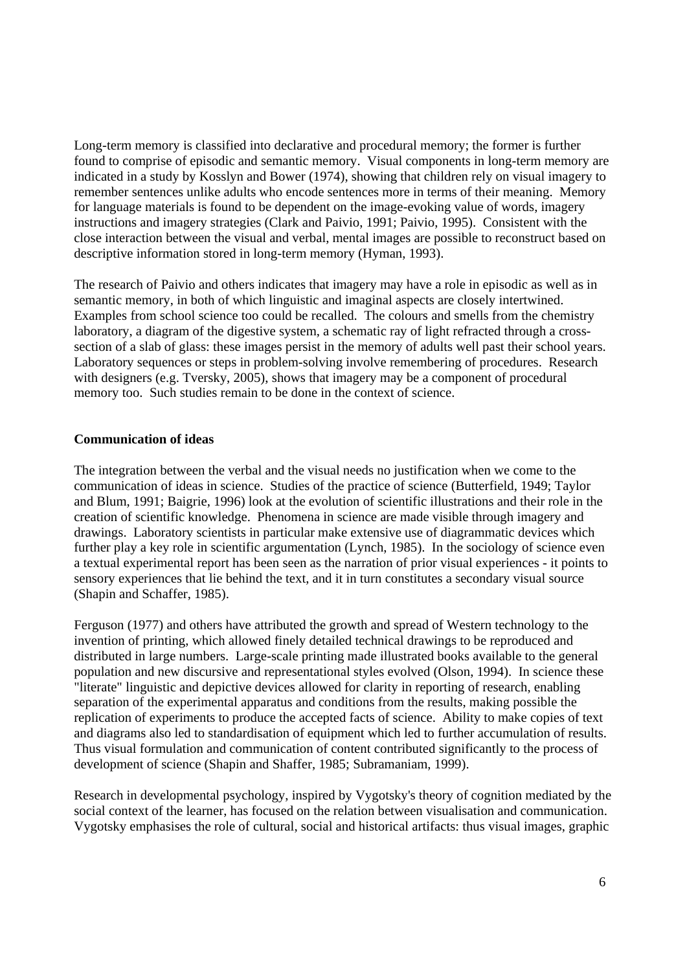Long-term memory is classified into declarative and procedural memory; the former is further found to comprise of episodic and semantic memory. Visual components in long-term memory are indicated in a study by Kosslyn and Bower (1974), showing that children rely on visual imagery to remember sentences unlike adults who encode sentences more in terms of their meaning. Memory for language materials is found to be dependent on the image-evoking value of words, imagery instructions and imagery strategies (Clark and Paivio, 1991; Paivio, 1995). Consistent with the close interaction between the visual and verbal, mental images are possible to reconstruct based on descriptive information stored in long-term memory (Hyman, 1993).

The research of Paivio and others indicates that imagery may have a role in episodic as well as in semantic memory, in both of which linguistic and imaginal aspects are closely intertwined. Examples from school science too could be recalled. The colours and smells from the chemistry laboratory, a diagram of the digestive system, a schematic ray of light refracted through a crosssection of a slab of glass: these images persist in the memory of adults well past their school years. Laboratory sequences or steps in problem-solving involve remembering of procedures. Research with designers (e.g. Tversky, 2005), shows that imagery may be a component of procedural memory too. Such studies remain to be done in the context of science.

### **Communication of ideas**

The integration between the verbal and the visual needs no justification when we come to the communication of ideas in science. Studies of the practice of science (Butterfield, 1949; Taylor and Blum, 1991; Baigrie, 1996) look at the evolution of scientific illustrations and their role in the creation of scientific knowledge. Phenomena in science are made visible through imagery and drawings. Laboratory scientists in particular make extensive use of diagrammatic devices which further play a key role in scientific argumentation (Lynch, 1985). In the sociology of science even a textual experimental report has been seen as the narration of prior visual experiences - it points to sensory experiences that lie behind the text, and it in turn constitutes a secondary visual source (Shapin and Schaffer, 1985).

Ferguson (1977) and others have attributed the growth and spread of Western technology to the invention of printing, which allowed finely detailed technical drawings to be reproduced and distributed in large numbers. Large-scale printing made illustrated books available to the general population and new discursive and representational styles evolved (Olson, 1994). In science these "literate" linguistic and depictive devices allowed for clarity in reporting of research, enabling separation of the experimental apparatus and conditions from the results, making possible the replication of experiments to produce the accepted facts of science. Ability to make copies of text and diagrams also led to standardisation of equipment which led to further accumulation of results. Thus visual formulation and communication of content contributed significantly to the process of development of science (Shapin and Shaffer, 1985; Subramaniam, 1999).

Research in developmental psychology, inspired by Vygotsky's theory of cognition mediated by the social context of the learner, has focused on the relation between visualisation and communication. Vygotsky emphasises the role of cultural, social and historical artifacts: thus visual images, graphic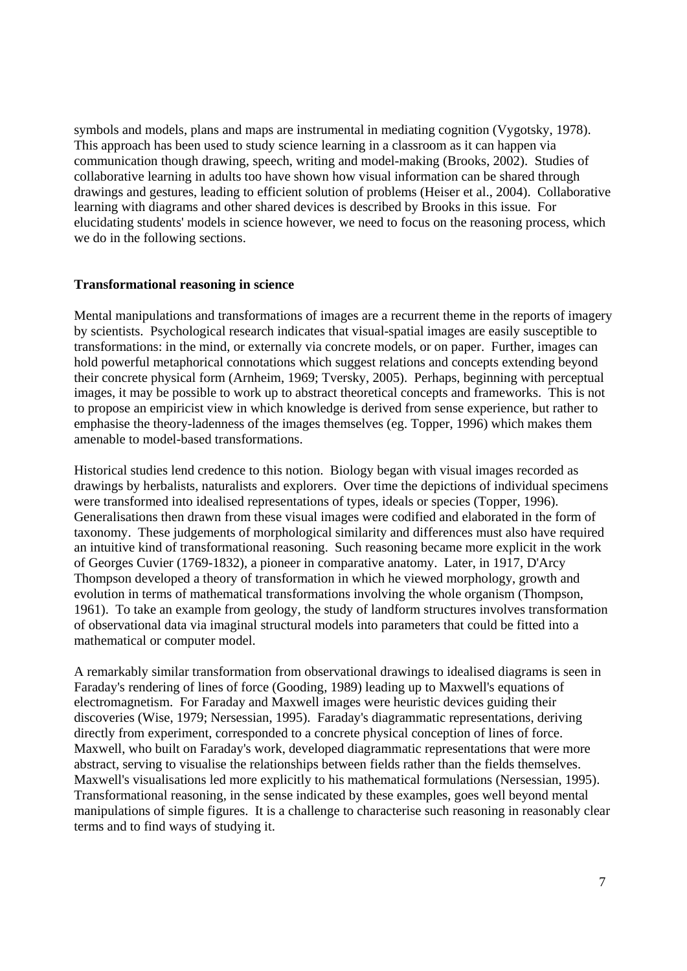symbols and models, plans and maps are instrumental in mediating cognition (Vygotsky, 1978). This approach has been used to study science learning in a classroom as it can happen via communication though drawing, speech, writing and model-making (Brooks, 2002). Studies of collaborative learning in adults too have shown how visual information can be shared through drawings and gestures, leading to efficient solution of problems (Heiser et al., 2004). Collaborative learning with diagrams and other shared devices is described by Brooks in this issue. For elucidating students' models in science however, we need to focus on the reasoning process, which we do in the following sections.

#### **Transformational reasoning in science**

Mental manipulations and transformations of images are a recurrent theme in the reports of imagery by scientists. Psychological research indicates that visual-spatial images are easily susceptible to transformations: in the mind, or externally via concrete models, or on paper. Further, images can hold powerful metaphorical connotations which suggest relations and concepts extending beyond their concrete physical form (Arnheim, 1969; Tversky, 2005). Perhaps, beginning with perceptual images, it may be possible to work up to abstract theoretical concepts and frameworks. This is not to propose an empiricist view in which knowledge is derived from sense experience, but rather to emphasise the theory-ladenness of the images themselves (eg. Topper, 1996) which makes them amenable to model-based transformations.

Historical studies lend credence to this notion. Biology began with visual images recorded as drawings by herbalists, naturalists and explorers. Over time the depictions of individual specimens were transformed into idealised representations of types, ideals or species (Topper, 1996). Generalisations then drawn from these visual images were codified and elaborated in the form of taxonomy. These judgements of morphological similarity and differences must also have required an intuitive kind of transformational reasoning. Such reasoning became more explicit in the work of Georges Cuvier (1769-1832), a pioneer in comparative anatomy. Later, in 1917, D'Arcy Thompson developed a theory of transformation in which he viewed morphology, growth and evolution in terms of mathematical transformations involving the whole organism (Thompson, 1961). To take an example from geology, the study of landform structures involves transformation of observational data via imaginal structural models into parameters that could be fitted into a mathematical or computer model.

A remarkably similar transformation from observational drawings to idealised diagrams is seen in Faraday's rendering of lines of force (Gooding, 1989) leading up to Maxwell's equations of electromagnetism. For Faraday and Maxwell images were heuristic devices guiding their discoveries (Wise, 1979; Nersessian, 1995). Faraday's diagrammatic representations, deriving directly from experiment, corresponded to a concrete physical conception of lines of force. Maxwell, who built on Faraday's work, developed diagrammatic representations that were more abstract, serving to visualise the relationships between fields rather than the fields themselves. Maxwell's visualisations led more explicitly to his mathematical formulations (Nersessian, 1995). Transformational reasoning, in the sense indicated by these examples, goes well beyond mental manipulations of simple figures. It is a challenge to characterise such reasoning in reasonably clear terms and to find ways of studying it.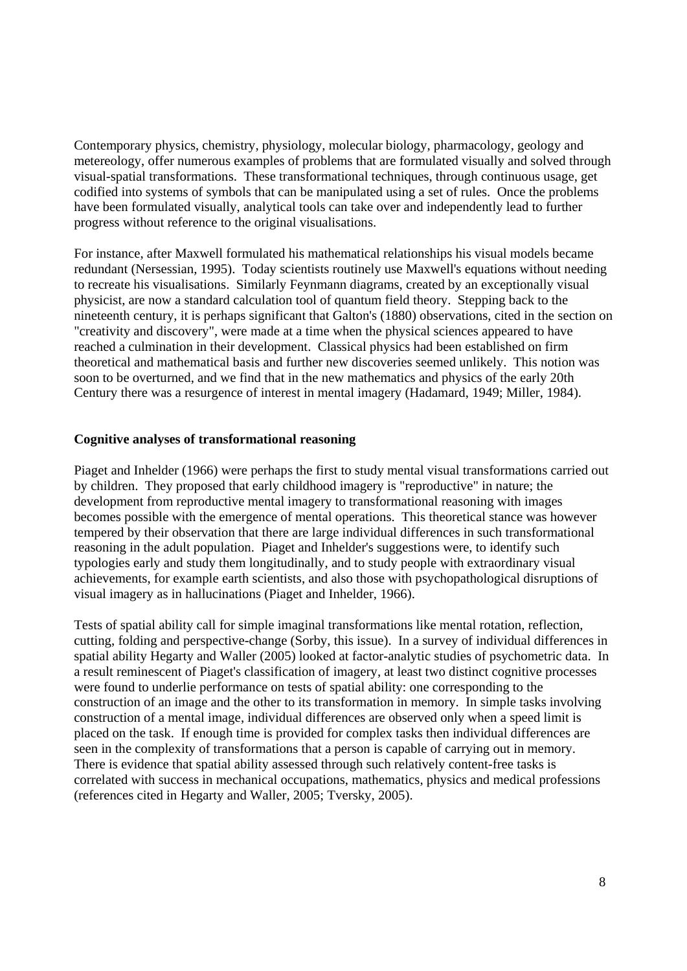Contemporary physics, chemistry, physiology, molecular biology, pharmacology, geology and metereology, offer numerous examples of problems that are formulated visually and solved through visual-spatial transformations. These transformational techniques, through continuous usage, get codified into systems of symbols that can be manipulated using a set of rules. Once the problems have been formulated visually, analytical tools can take over and independently lead to further progress without reference to the original visualisations.

For instance, after Maxwell formulated his mathematical relationships his visual models became redundant (Nersessian, 1995). Today scientists routinely use Maxwell's equations without needing to recreate his visualisations. Similarly Feynmann diagrams, created by an exceptionally visual physicist, are now a standard calculation tool of quantum field theory. Stepping back to the nineteenth century, it is perhaps significant that Galton's (1880) observations, cited in the section on "creativity and discovery", were made at a time when the physical sciences appeared to have reached a culmination in their development. Classical physics had been established on firm theoretical and mathematical basis and further new discoveries seemed unlikely. This notion was soon to be overturned, and we find that in the new mathematics and physics of the early 20th Century there was a resurgence of interest in mental imagery (Hadamard, 1949; Miller, 1984).

### **Cognitive analyses of transformational reasoning**

Piaget and Inhelder (1966) were perhaps the first to study mental visual transformations carried out by children. They proposed that early childhood imagery is "reproductive" in nature; the development from reproductive mental imagery to transformational reasoning with images becomes possible with the emergence of mental operations. This theoretical stance was however tempered by their observation that there are large individual differences in such transformational reasoning in the adult population. Piaget and Inhelder's suggestions were, to identify such typologies early and study them longitudinally, and to study people with extraordinary visual achievements, for example earth scientists, and also those with psychopathological disruptions of visual imagery as in hallucinations (Piaget and Inhelder, 1966).

Tests of spatial ability call for simple imaginal transformations like mental rotation, reflection, cutting, folding and perspective-change (Sorby, this issue). In a survey of individual differences in spatial ability Hegarty and Waller (2005) looked at factor-analytic studies of psychometric data. In a result reminescent of Piaget's classification of imagery, at least two distinct cognitive processes were found to underlie performance on tests of spatial ability: one corresponding to the construction of an image and the other to its transformation in memory. In simple tasks involving construction of a mental image, individual differences are observed only when a speed limit is placed on the task. If enough time is provided for complex tasks then individual differences are seen in the complexity of transformations that a person is capable of carrying out in memory. There is evidence that spatial ability assessed through such relatively content-free tasks is correlated with success in mechanical occupations, mathematics, physics and medical professions (references cited in Hegarty and Waller, 2005; Tversky, 2005).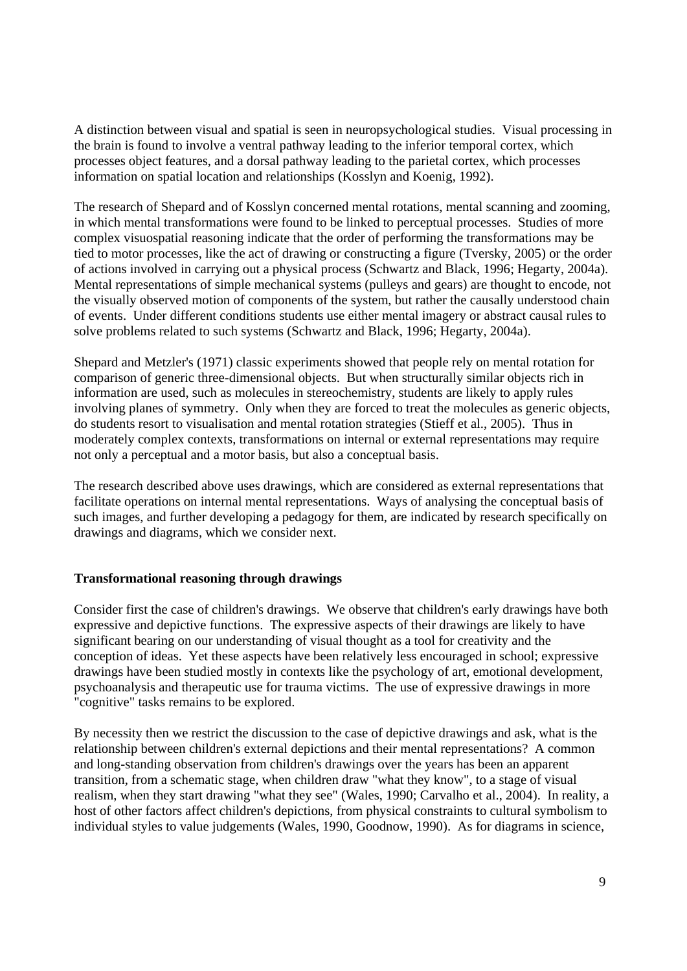A distinction between visual and spatial is seen in neuropsychological studies. Visual processing in the brain is found to involve a ventral pathway leading to the inferior temporal cortex, which processes object features, and a dorsal pathway leading to the parietal cortex, which processes information on spatial location and relationships (Kosslyn and Koenig, 1992).

The research of Shepard and of Kosslyn concerned mental rotations, mental scanning and zooming, in which mental transformations were found to be linked to perceptual processes. Studies of more complex visuospatial reasoning indicate that the order of performing the transformations may be tied to motor processes, like the act of drawing or constructing a figure (Tversky, 2005) or the order of actions involved in carrying out a physical process (Schwartz and Black, 1996; Hegarty, 2004a). Mental representations of simple mechanical systems (pulleys and gears) are thought to encode, not the visually observed motion of components of the system, but rather the causally understood chain of events. Under different conditions students use either mental imagery or abstract causal rules to solve problems related to such systems (Schwartz and Black, 1996; Hegarty, 2004a).

Shepard and Metzler's (1971) classic experiments showed that people rely on mental rotation for comparison of generic three-dimensional objects. But when structurally similar objects rich in information are used, such as molecules in stereochemistry, students are likely to apply rules involving planes of symmetry. Only when they are forced to treat the molecules as generic objects, do students resort to visualisation and mental rotation strategies (Stieff et al., 2005). Thus in moderately complex contexts, transformations on internal or external representations may require not only a perceptual and a motor basis, but also a conceptual basis.

The research described above uses drawings, which are considered as external representations that facilitate operations on internal mental representations. Ways of analysing the conceptual basis of such images, and further developing a pedagogy for them, are indicated by research specifically on drawings and diagrams, which we consider next.

### **Transformational reasoning through drawings**

Consider first the case of children's drawings. We observe that children's early drawings have both expressive and depictive functions. The expressive aspects of their drawings are likely to have significant bearing on our understanding of visual thought as a tool for creativity and the conception of ideas. Yet these aspects have been relatively less encouraged in school; expressive drawings have been studied mostly in contexts like the psychology of art, emotional development, psychoanalysis and therapeutic use for trauma victims. The use of expressive drawings in more "cognitive" tasks remains to be explored.

By necessity then we restrict the discussion to the case of depictive drawings and ask, what is the relationship between children's external depictions and their mental representations? A common and long-standing observation from children's drawings over the years has been an apparent transition, from a schematic stage, when children draw "what they know", to a stage of visual realism, when they start drawing "what they see" (Wales, 1990; Carvalho et al., 2004). In reality, a host of other factors affect children's depictions, from physical constraints to cultural symbolism to individual styles to value judgements (Wales, 1990, Goodnow, 1990). As for diagrams in science,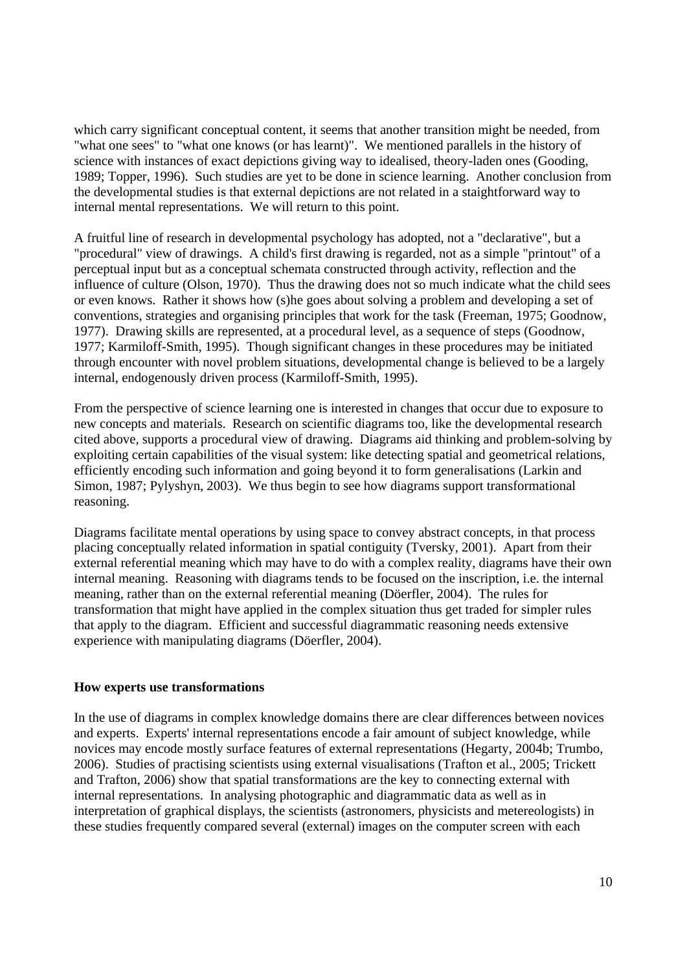which carry significant conceptual content, it seems that another transition might be needed, from "what one sees" to "what one knows (or has learnt)". We mentioned parallels in the history of science with instances of exact depictions giving way to idealised, theory-laden ones (Gooding, 1989; Topper, 1996). Such studies are yet to be done in science learning. Another conclusion from the developmental studies is that external depictions are not related in a staightforward way to internal mental representations. We will return to this point.

A fruitful line of research in developmental psychology has adopted, not a "declarative", but a "procedural" view of drawings. A child's first drawing is regarded, not as a simple "printout" of a perceptual input but as a conceptual schemata constructed through activity, reflection and the influence of culture (Olson, 1970). Thus the drawing does not so much indicate what the child sees or even knows. Rather it shows how (s)he goes about solving a problem and developing a set of conventions, strategies and organising principles that work for the task (Freeman, 1975; Goodnow, 1977). Drawing skills are represented, at a procedural level, as a sequence of steps (Goodnow, 1977; Karmiloff-Smith, 1995). Though significant changes in these procedures may be initiated through encounter with novel problem situations, developmental change is believed to be a largely internal, endogenously driven process (Karmiloff-Smith, 1995).

From the perspective of science learning one is interested in changes that occur due to exposure to new concepts and materials. Research on scientific diagrams too, like the developmental research cited above, supports a procedural view of drawing. Diagrams aid thinking and problem-solving by exploiting certain capabilities of the visual system: like detecting spatial and geometrical relations, efficiently encoding such information and going beyond it to form generalisations (Larkin and Simon, 1987; Pylyshyn, 2003). We thus begin to see how diagrams support transformational reasoning.

Diagrams facilitate mental operations by using space to convey abstract concepts, in that process placing conceptually related information in spatial contiguity (Tversky, 2001). Apart from their external referential meaning which may have to do with a complex reality, diagrams have their own internal meaning. Reasoning with diagrams tends to be focused on the inscription, i.e. the internal meaning, rather than on the external referential meaning (Döerfler, 2004). The rules for transformation that might have applied in the complex situation thus get traded for simpler rules that apply to the diagram. Efficient and successful diagrammatic reasoning needs extensive experience with manipulating diagrams (Döerfler, 2004).

#### **How experts use transformations**

In the use of diagrams in complex knowledge domains there are clear differences between novices and experts. Experts' internal representations encode a fair amount of subject knowledge, while novices may encode mostly surface features of external representations (Hegarty, 2004b; Trumbo, 2006). Studies of practising scientists using external visualisations (Trafton et al., 2005; Trickett and Trafton, 2006) show that spatial transformations are the key to connecting external with internal representations. In analysing photographic and diagrammatic data as well as in interpretation of graphical displays, the scientists (astronomers, physicists and metereologists) in these studies frequently compared several (external) images on the computer screen with each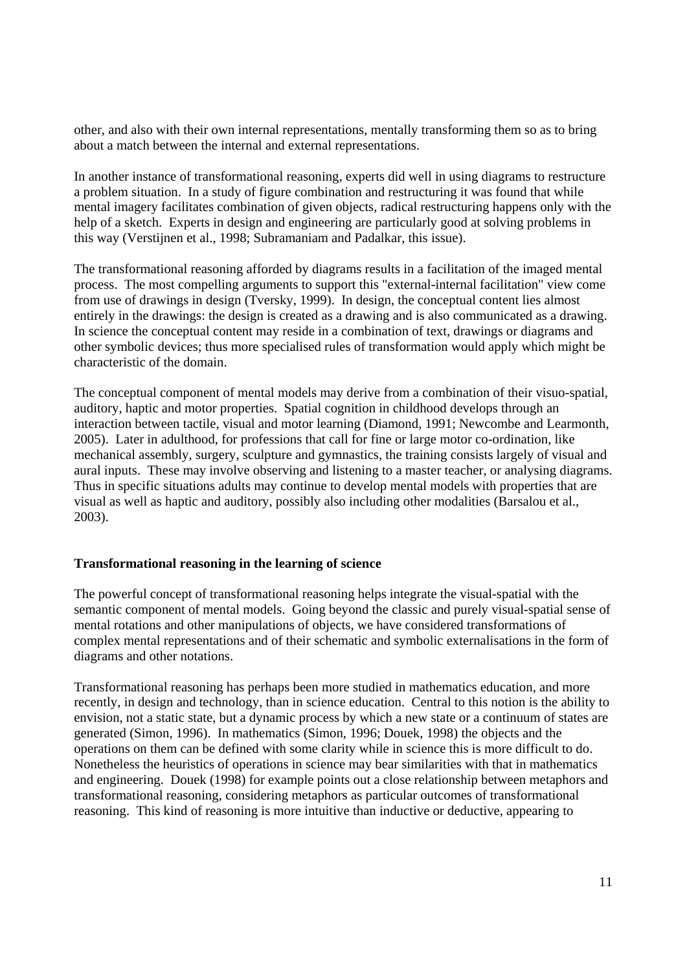other, and also with their own internal representations, mentally transforming them so as to bring about a match between the internal and external representations.

In another instance of transformational reasoning, experts did well in using diagrams to restructure a problem situation. In a study of figure combination and restructuring it was found that while mental imagery facilitates combination of given objects, radical restructuring happens only with the help of a sketch. Experts in design and engineering are particularly good at solving problems in this way (Verstijnen et al., 1998; Subramaniam and Padalkar, this issue).

The transformational reasoning afforded by diagrams results in a facilitation of the imaged mental process. The most compelling arguments to support this "external-internal facilitation" view come from use of drawings in design (Tversky, 1999). In design, the conceptual content lies almost entirely in the drawings: the design is created as a drawing and is also communicated as a drawing. In science the conceptual content may reside in a combination of text, drawings or diagrams and other symbolic devices; thus more specialised rules of transformation would apply which might be characteristic of the domain.

The conceptual component of mental models may derive from a combination of their visuo-spatial, auditory, haptic and motor properties. Spatial cognition in childhood develops through an interaction between tactile, visual and motor learning (Diamond, 1991; Newcombe and Learmonth, 2005). Later in adulthood, for professions that call for fine or large motor co-ordination, like mechanical assembly, surgery, sculpture and gymnastics, the training consists largely of visual and aural inputs. These may involve observing and listening to a master teacher, or analysing diagrams. Thus in specific situations adults may continue to develop mental models with properties that are visual as well as haptic and auditory, possibly also including other modalities (Barsalou et al., 2003).

### **Transformational reasoning in the learning of science**

The powerful concept of transformational reasoning helps integrate the visual-spatial with the semantic component of mental models. Going beyond the classic and purely visual-spatial sense of mental rotations and other manipulations of objects, we have considered transformations of complex mental representations and of their schematic and symbolic externalisations in the form of diagrams and other notations.

Transformational reasoning has perhaps been more studied in mathematics education, and more recently, in design and technology, than in science education. Central to this notion is the ability to envision, not a static state, but a dynamic process by which a new state or a continuum of states are generated (Simon, 1996). In mathematics (Simon, 1996; Douek, 1998) the objects and the operations on them can be defined with some clarity while in science this is more difficult to do. Nonetheless the heuristics of operations in science may bear similarities with that in mathematics and engineering. Douek (1998) for example points out a close relationship between metaphors and transformational reasoning, considering metaphors as particular outcomes of transformational reasoning. This kind of reasoning is more intuitive than inductive or deductive, appearing to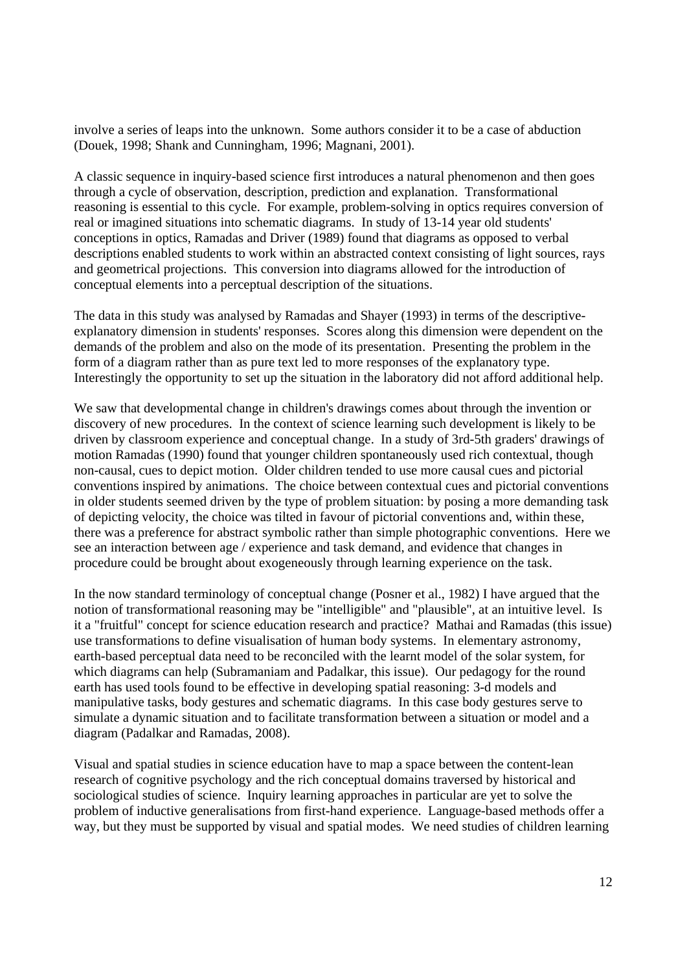involve a series of leaps into the unknown. Some authors consider it to be a case of abduction (Douek, 1998; Shank and Cunningham, 1996; Magnani, 2001).

A classic sequence in inquiry-based science first introduces a natural phenomenon and then goes through a cycle of observation, description, prediction and explanation. Transformational reasoning is essential to this cycle. For example, problem-solving in optics requires conversion of real or imagined situations into schematic diagrams. In study of 13-14 year old students' conceptions in optics, Ramadas and Driver (1989) found that diagrams as opposed to verbal descriptions enabled students to work within an abstracted context consisting of light sources, rays and geometrical projections. This conversion into diagrams allowed for the introduction of conceptual elements into a perceptual description of the situations.

The data in this study was analysed by Ramadas and Shayer (1993) in terms of the descriptiveexplanatory dimension in students' responses. Scores along this dimension were dependent on the demands of the problem and also on the mode of its presentation. Presenting the problem in the form of a diagram rather than as pure text led to more responses of the explanatory type. Interestingly the opportunity to set up the situation in the laboratory did not afford additional help.

We saw that developmental change in children's drawings comes about through the invention or discovery of new procedures. In the context of science learning such development is likely to be driven by classroom experience and conceptual change. In a study of 3rd-5th graders' drawings of motion Ramadas (1990) found that younger children spontaneously used rich contextual, though non-causal, cues to depict motion. Older children tended to use more causal cues and pictorial conventions inspired by animations. The choice between contextual cues and pictorial conventions in older students seemed driven by the type of problem situation: by posing a more demanding task of depicting velocity, the choice was tilted in favour of pictorial conventions and, within these, there was a preference for abstract symbolic rather than simple photographic conventions. Here we see an interaction between age / experience and task demand, and evidence that changes in procedure could be brought about exogeneously through learning experience on the task.

In the now standard terminology of conceptual change (Posner et al., 1982) I have argued that the notion of transformational reasoning may be "intelligible" and "plausible", at an intuitive level. Is it a "fruitful" concept for science education research and practice? Mathai and Ramadas (this issue) use transformations to define visualisation of human body systems. In elementary astronomy, earth-based perceptual data need to be reconciled with the learnt model of the solar system, for which diagrams can help (Subramaniam and Padalkar, this issue). Our pedagogy for the round earth has used tools found to be effective in developing spatial reasoning: 3-d models and manipulative tasks, body gestures and schematic diagrams. In this case body gestures serve to simulate a dynamic situation and to facilitate transformation between a situation or model and a diagram (Padalkar and Ramadas, 2008).

Visual and spatial studies in science education have to map a space between the content-lean research of cognitive psychology and the rich conceptual domains traversed by historical and sociological studies of science. Inquiry learning approaches in particular are yet to solve the problem of inductive generalisations from first-hand experience. Language-based methods offer a way, but they must be supported by visual and spatial modes. We need studies of children learning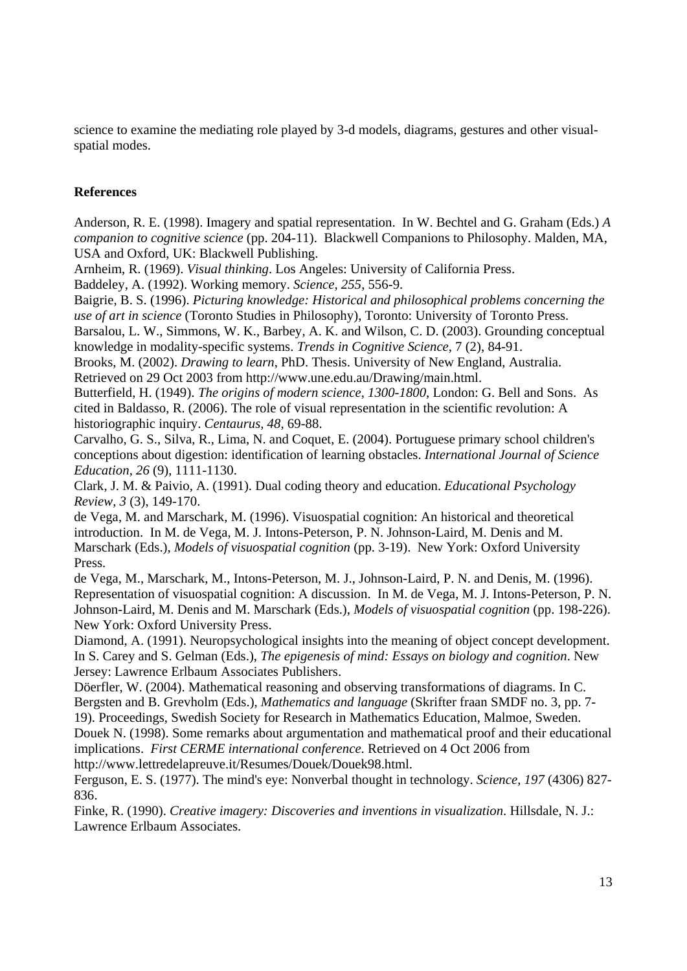science to examine the mediating role played by 3-d models, diagrams, gestures and other visualspatial modes.

### **References**

Anderson, R. E. (1998). Imagery and spatial representation. In W. Bechtel and G. Graham (Eds.) *A companion to cognitive science* (pp. 204-11). Blackwell Companions to Philosophy. Malden, MA, USA and Oxford, UK: Blackwell Publishing.

Arnheim, R. (1969). *Visual thinking*. Los Angeles: University of California Press.

Baddeley, A. (1992). Working memory. *Science, 255*, 556-9.

Baigrie, B. S. (1996). *Picturing knowledge: Historical and philosophical problems concerning the use of art in science* (Toronto Studies in Philosophy), Toronto: University of Toronto Press.

Barsalou, L. W., Simmons, W. K., Barbey, A. K. and Wilson, C. D. (2003). Grounding conceptual knowledge in modality-specific systems. *Trends in Cognitive Science*, 7 (2), 84-91.

Brooks, M. (2002). *Drawing to learn*, PhD. Thesis. University of New England, Australia. Retrieved on 29 Oct 2003 from http://www.une.edu.au/Drawing/main.html.

Butterfield, H. (1949). *The origins of modern science, 1300-1800*, London: G. Bell and Sons. As cited in Baldasso, R. (2006). The role of visual representation in the scientific revolution: A historiographic inquiry. *Centaurus, 48*, 69-88.

Carvalho, G. S., Silva, R., Lima, N. and Coquet, E. (2004). Portuguese primary school children's conceptions about digestion: identification of learning obstacles. *International Journal of Science Education, 26* (9), 1111-1130.

Clark, J. M. & Paivio, A. (1991). Dual coding theory and education. *Educational Psychology Review, 3* (3), 149-170.

de Vega, M. and Marschark, M. (1996). Visuospatial cognition: An historical and theoretical introduction. In M. de Vega, M. J. Intons-Peterson, P. N. Johnson-Laird, M. Denis and M. Marschark (Eds.), *Models of visuospatial cognition* (pp. 3-19). New York: Oxford University Press.

de Vega, M., Marschark, M., Intons-Peterson, M. J., Johnson-Laird, P. N. and Denis, M. (1996). Representation of visuospatial cognition: A discussion. In M. de Vega, M. J. Intons-Peterson, P. N. Johnson-Laird, M. Denis and M. Marschark (Eds.), *Models of visuospatial cognition* (pp. 198-226). New York: Oxford University Press.

Diamond, A. (1991). Neuropsychological insights into the meaning of object concept development. In S. Carey and S. Gelman (Eds.), *The epigenesis of mind: Essays on biology and cognition*. New Jersey: Lawrence Erlbaum Associates Publishers.

Döerfler, W. (2004). Mathematical reasoning and observing transformations of diagrams. In C. Bergsten and B. Grevholm (Eds.), *Mathematics and language* (Skrifter fraan SMDF no. 3, pp. 7- 19). Proceedings, Swedish Society for Research in Mathematics Education, Malmoe, Sweden.

Douek N. (1998). Some remarks about argumentation and mathematical proof and their educational implications. *First CERME international conference*. Retrieved on 4 Oct 2006 from http://www.lettredelapreuve.it/Resumes/Douek/Douek98.html.

Ferguson, E. S. (1977). The mind's eye: Nonverbal thought in technology. *Science, 197* (4306) 827- 836.

Finke, R. (1990). *Creative imagery: Discoveries and inventions in visualization*. Hillsdale, N. J.: Lawrence Erlbaum Associates.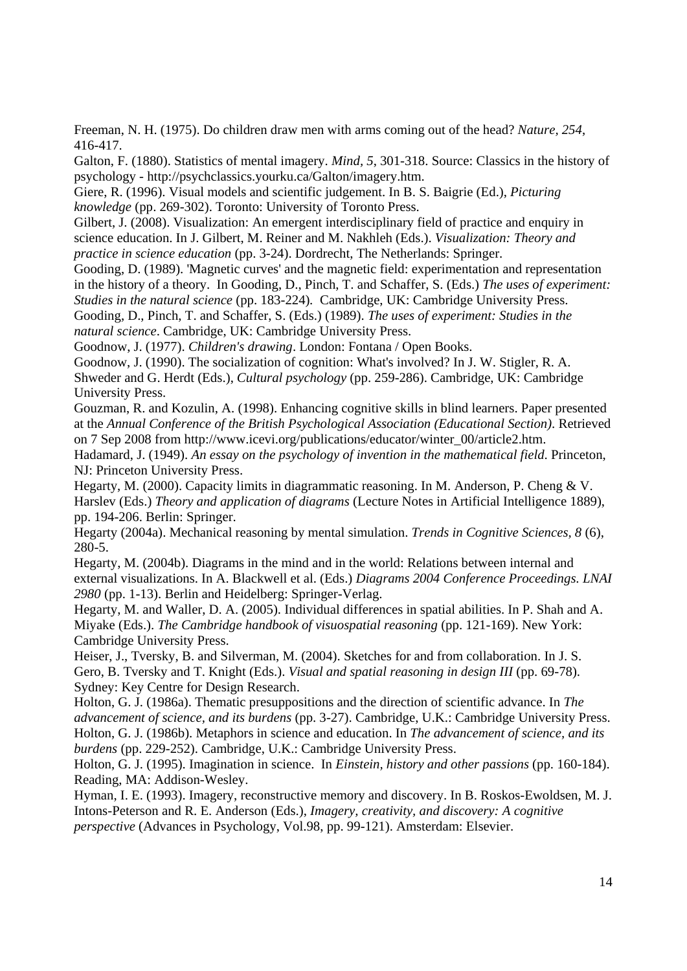Freeman, N. H. (1975). Do children draw men with arms coming out of the head? *Nature, 254*, 416-417.

Galton, F. (1880). Statistics of mental imagery. *Mind, 5*, 301-318. Source: Classics in the history of psychology - http://psychclassics.yourku.ca/Galton/imagery.htm.

Giere, R. (1996). Visual models and scientific judgement. In B. S. Baigrie (Ed.), *Picturing knowledge* (pp. 269-302). Toronto: University of Toronto Press.

Gilbert, J. (2008). Visualization: An emergent interdisciplinary field of practice and enquiry in science education. In J. Gilbert, M. Reiner and M. Nakhleh (Eds.). *Visualization: Theory and practice in science education* (pp. 3-24). Dordrecht, The Netherlands: Springer.

Gooding, D. (1989). 'Magnetic curves' and the magnetic field: experimentation and representation in the history of a theory. In Gooding, D., Pinch, T. and Schaffer, S. (Eds.) *The uses of experiment: Studies in the natural science* (pp. 183-224)*.* Cambridge, UK: Cambridge University Press. Gooding, D., Pinch, T. and Schaffer, S. (Eds.) (1989). *The uses of experiment: Studies in the natural science*. Cambridge, UK: Cambridge University Press.

Goodnow, J. (1977). *Children's drawing*. London: Fontana / Open Books.

Goodnow, J. (1990). The socialization of cognition: What's involved? In J. W. Stigler, R. A.

Shweder and G. Herdt (Eds.), *Cultural psychology* (pp. 259-286). Cambridge, UK: Cambridge University Press.

Gouzman, R. and Kozulin, A. (1998). Enhancing cognitive skills in blind learners. Paper presented at the *Annual Conference of the British Psychological Association (Educational Section)*. Retrieved on 7 Sep 2008 from http://www.icevi.org/publications/educator/winter\_00/article2.htm.

Hadamard, J. (1949). *An essay on the psychology of invention in the mathematical field*. Princeton, NJ: Princeton University Press.

Hegarty, M. (2000). Capacity limits in diagrammatic reasoning. In M. Anderson, P. Cheng & V. Harslev (Eds.) *Theory and application of diagrams* (Lecture Notes in Artificial Intelligence 1889), pp. 194-206. Berlin: Springer.

Hegarty (2004a). Mechanical reasoning by mental simulation. *Trends in Cognitive Sciences, 8* (6), 280-5.

Hegarty, M. (2004b). Diagrams in the mind and in the world: Relations between internal and external visualizations. In A. Blackwell et al. (Eds.) *Diagrams 2004 Conference Proceedings. LNAI 2980* (pp. 1-13). Berlin and Heidelberg: Springer-Verlag.

Hegarty, M. and Waller, D. A. (2005). Individual differences in spatial abilities. In P. Shah and A. Miyake (Eds.). *The Cambridge handbook of visuospatial reasoning* (pp. 121-169). New York: Cambridge University Press.

Heiser, J., Tversky, B. and Silverman, M. (2004). Sketches for and from collaboration. In J. S. Gero, B. Tversky and T. Knight (Eds.). *Visual and spatial reasoning in design III* (pp. 69-78). Sydney: Key Centre for Design Research.

Holton, G. J. (1986a). Thematic presuppositions and the direction of scientific advance. In *The advancement of science, and its burdens* (pp. 3-27). Cambridge, U.K.: Cambridge University Press. Holton, G. J. (1986b). Metaphors in science and education. In *The advancement of science, and its burdens* (pp. 229-252). Cambridge, U.K.: Cambridge University Press.

Holton, G. J. (1995). Imagination in science. In *Einstein, history and other passions* (pp. 160-184). Reading, MA: Addison-Wesley.

Hyman, I. E. (1993). Imagery, reconstructive memory and discovery. In B. Roskos-Ewoldsen, M. J. Intons-Peterson and R. E. Anderson (Eds.), *Imagery, creativity, and discovery: A cognitive perspective* (Advances in Psychology, Vol.98, pp. 99-121). Amsterdam: Elsevier.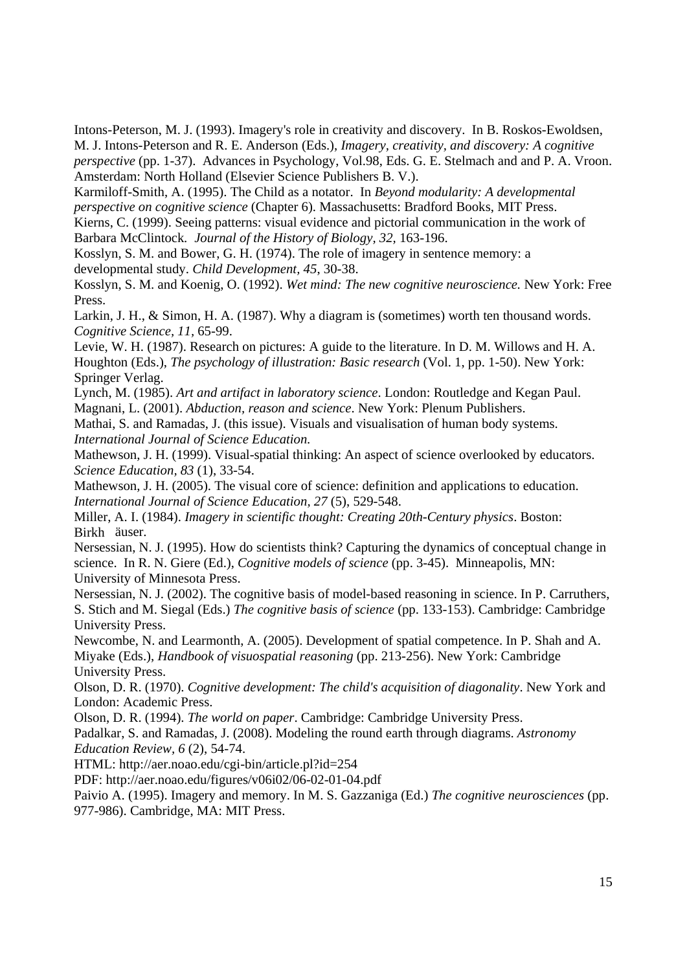Intons-Peterson, M. J. (1993). Imagery's role in creativity and discovery. In B. Roskos-Ewoldsen, M. J. Intons-Peterson and R. E. Anderson (Eds.), *Imagery, creativity, and discovery: A cognitive perspective* (pp. 1-37). Advances in Psychology, Vol.98, Eds. G. E. Stelmach and and P. A. Vroon. Amsterdam: North Holland (Elsevier Science Publishers B. V.).

Karmiloff-Smith, A. (1995). The Child as a notator. In *Beyond modularity: A developmental perspective on cognitive science* (Chapter 6). Massachusetts: Bradford Books, MIT Press.

Kierns, C. (1999). Seeing patterns: visual evidence and pictorial communication in the work of Barbara McClintock*. Journal of the History of Biology, 32,* 163-196.

Kosslyn, S. M. and Bower, G. H. (1974). The role of imagery in sentence memory: a developmental study. *Child Development, 45*, 30-38.

Kosslyn, S. M. and Koenig, O. (1992). *Wet mind: The new cognitive neuroscience.* New York: Free Press.

Larkin, J. H., & Simon, H. A. (1987). Why a diagram is (sometimes) worth ten thousand words. *Cognitive Science, 11,* 65-99.

Levie, W. H. (1987). Research on pictures: A guide to the literature. In D. M. Willows and H. A. Houghton (Eds.), *The psychology of illustration: Basic research* (Vol. 1, pp. 1-50). New York: Springer Verlag.

Lynch, M. (1985). *Art and artifact in laboratory science*. London: Routledge and Kegan Paul. Magnani, L. (2001). *Abduction, reason and science*. New York: Plenum Publishers.

Mathai, S. and Ramadas, J. (this issue). Visuals and visualisation of human body systems. *International Journal of Science Education.*

Mathewson, J. H. (1999). Visual-spatial thinking: An aspect of science overlooked by educators. *Science Education, 83* (1), 33-54.

Mathewson, J. H. (2005). The visual core of science: definition and applications to education. *International Journal of Science Education, 27* (5), 529-548.

Miller, A. I. (1984). *Imagery in scientific thought: Creating 20th-Century physics*. Boston: Birkh äuser.

Nersessian, N. J. (1995). How do scientists think? Capturing the dynamics of conceptual change in science. In R. N. Giere (Ed.), *Cognitive models of science* (pp. 3-45). Minneapolis, MN: University of Minnesota Press.

Nersessian, N. J. (2002). The cognitive basis of model-based reasoning in science. In P. Carruthers, S. Stich and M. Siegal (Eds.) *The cognitive basis of science* (pp. 133-153). Cambridge: Cambridge University Press.

Newcombe, N. and Learmonth, A. (2005). Development of spatial competence. In P. Shah and A. Miyake (Eds.), *Handbook of visuospatial reasoning* (pp. 213-256). New York: Cambridge University Press.

Olson, D. R. (1970). *Cognitive development: The child's acquisition of diagonality*. New York and London: Academic Press.

Olson, D. R. (1994). *The world on paper*. Cambridge: Cambridge University Press.

Padalkar, S. and Ramadas, J. (2008). Modeling the round earth through diagrams. *Astronomy Education Review, 6* (2), 54-74.

HTML: http://aer.noao.edu/cgi-bin/article.pl?id=254

PDF: http://aer.noao.edu/figures/v06i02/06-02-01-04.pdf

Paivio A. (1995). Imagery and memory. In M. S. Gazzaniga (Ed.) *The cognitive neurosciences* (pp. 977-986). Cambridge, MA: MIT Press.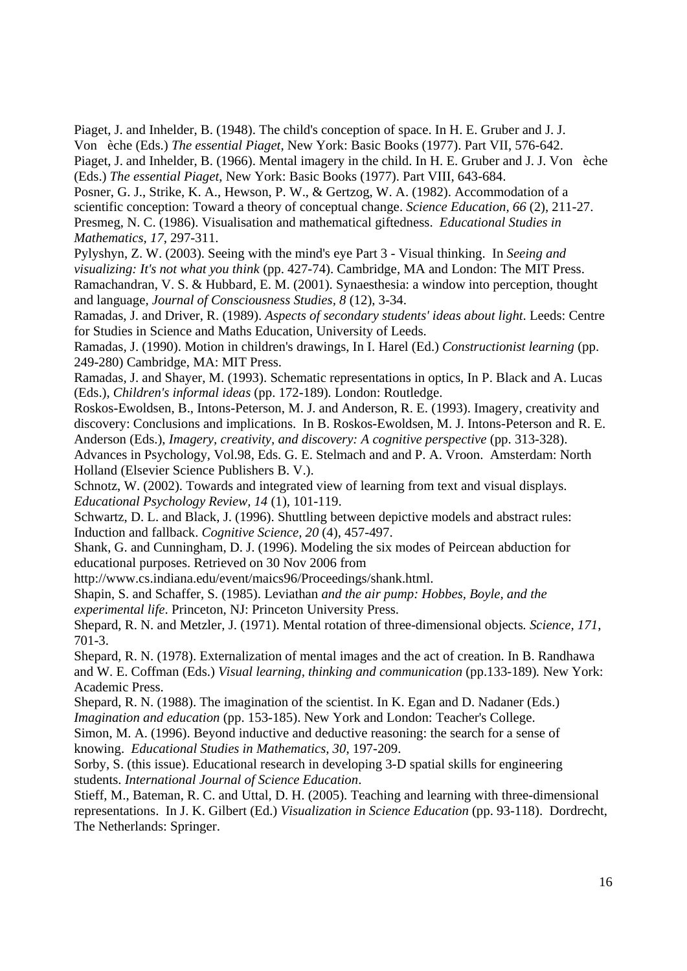Piaget, J. and Inhelder, B. (1948). The child's conception of space. In H. E. Gruber and J. J. Von èche (Eds.) *The essential Piaget*, New York: Basic Books (1977). Part VII, 576-642.

Piaget, J. and Inhelder, B. (1966). Mental imagery in the child. In H. E. Gruber and J. J. Von èche (Eds.) *The essential Piaget*, New York: Basic Books (1977). Part VIII, 643-684.

Posner, G. J., Strike, K. A., Hewson, P. W., & Gertzog, W. A. (1982). Accommodation of a scientific conception: Toward a theory of conceptual change. *Science Education, 66* (2), 211-27. Presmeg, N. C. (1986). Visualisation and mathematical giftedness. *Educational Studies in Mathematics, 17*, 297-311.

Pylyshyn, Z. W. (2003). Seeing with the mind's eye Part 3 - Visual thinking. In *Seeing and visualizing: It's not what you think* (pp. 427-74). Cambridge, MA and London: The MIT Press. Ramachandran, V. S. & Hubbard, E. M. (2001). Synaesthesia: a window into perception, thought and language*, Journal of Consciousness Studies, 8* (12), 3-34.

Ramadas, J. and Driver, R. (1989). *Aspects of secondary students' ideas about light*. Leeds: Centre for Studies in Science and Maths Education, University of Leeds.

Ramadas, J. (1990). Motion in children's drawings, In I. Harel (Ed.) *Constructionist learning* (pp. 249-280) Cambridge, MA: MIT Press.

Ramadas, J. and Shayer, M. (1993). Schematic representations in optics, In P. Black and A. Lucas (Eds.), *Children's informal ideas* (pp. 172-189)*.* London: Routledge.

Roskos-Ewoldsen, B., Intons-Peterson, M. J. and Anderson, R. E. (1993). Imagery, creativity and discovery: Conclusions and implications. In B. Roskos-Ewoldsen, M. J. Intons-Peterson and R. E. Anderson (Eds.), *Imagery, creativity, and discovery: A cognitive perspective* (pp. 313-328).

Advances in Psychology, Vol.98, Eds. G. E. Stelmach and and P. A. Vroon. Amsterdam: North Holland (Elsevier Science Publishers B. V.).

Schnotz, W. (2002). Towards and integrated view of learning from text and visual displays. *Educational Psychology Review, 14* (1), 101-119.

Schwartz, D. L. and Black, J. (1996). Shuttling between depictive models and abstract rules: Induction and fallback. *Cognitive Science, 20* (4), 457-497.

Shank, G. and Cunningham, D. J. (1996). Modeling the six modes of Peircean abduction for educational purposes. Retrieved on 30 Nov 2006 from

http://www.cs.indiana.edu/event/maics96/Proceedings/shank.html.

Shapin, S. and Schaffer, S. (1985). Leviathan *and the air pump: Hobbes, Boyle, and the experimental life*. Princeton, NJ: Princeton University Press.

Shepard, R. N. and Metzler, J. (1971). Mental rotation of three-dimensional objects*. Science, 171*, 701-3.

Shepard, R. N. (1978). Externalization of mental images and the act of creation. In B. Randhawa and W. E. Coffman (Eds.) *Visual learning, thinking and communication* (pp.133-189)*.* New York: Academic Press.

Shepard, R. N. (1988). The imagination of the scientist. In K. Egan and D. Nadaner (Eds.) *Imagination and education* (pp. 153-185). New York and London: Teacher's College.

Simon, M. A. (1996). Beyond inductive and deductive reasoning: the search for a sense of knowing. *Educational Studies in Mathematics, 30*, 197-209.

Sorby, S. (this issue). Educational research in developing 3-D spatial skills for engineering students. *International Journal of Science Education*.

Stieff, M., Bateman, R. C. and Uttal, D. H. (2005). Teaching and learning with three-dimensional representations. In J. K. Gilbert (Ed.) *Visualization in Science Education* (pp. 93-118). Dordrecht, The Netherlands: Springer.